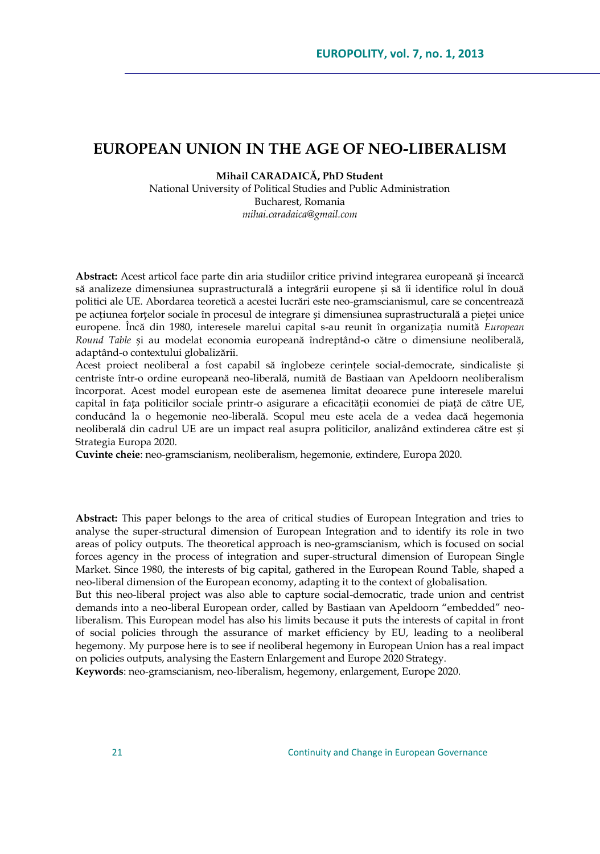## **EUROPEAN UNION IN THE AGE OF NEO-LIBERALISM**

#### **Mihail CARADAICĂ, PhD Student**

National University of Political Studies and Public Administration Bucharest, Romania *mihai.caradaica@gmail.com*

**Abstract:** Acest articol face parte din aria studiilor critice privind integrarea europeană și încearcă să analizeze dimensiunea suprastructurală a integrării europene și să îi identifice rolul în două politici ale UE. Abordarea teoretică a acestei lucrări este neo-gramscianismul, care se concentrează pe acțiunea forțelor sociale în procesul de integrare și dimensiunea suprastructurală a pieţei unice europene. Încă din 1980, interesele marelui capital s-au reunit în organizația numită *European Round Table* și au modelat economia europeană îndreptând-o către o dimensiune neoliberală, adaptând-o contextului globalizării.

Acest proiect neoliberal a fost capabil să înglobeze cerințele social-democrate, sindicaliste și centriste într-o ordine europeană neo-liberală, numită de Bastiaan van Apeldoorn neoliberalism încorporat. Acest model european este de asemenea limitat deoarece pune interesele marelui capital în fața politicilor sociale printr-o asigurare a eficacității economiei de piață de către UE, conducând la o hegemonie neo-liberală. Scopul meu este acela de a vedea dacă hegemonia neoliberală din cadrul UE are un impact real asupra politicilor, analizând extinderea către est și Strategia Europa 2020.

**Cuvinte cheie**: neo-gramscianism, neoliberalism, hegemonie, extindere, Europa 2020.

**Abstract:** This paper belongs to the area of critical studies of European Integration and tries to analyse the super-structural dimension of European Integration and to identify its role in two areas of policy outputs. The theoretical approach is neo-gramscianism, which is focused on social forces agency in the process of integration and super-structural dimension of European Single Market. Since 1980, the interests of big capital, gathered in the European Round Table, shaped a neo-liberal dimension of the European economy, adapting it to the context of globalisation.

But this neo-liberal project was also able to capture social-democratic, trade union and centrist demands into a neo-liberal European order, called by Bastiaan van Apeldoorn "embedded" neoliberalism. This European model has also his limits because it puts the interests of capital in front of social policies through the assurance of market efficiency by EU, leading to a neoliberal hegemony. My purpose here is to see if neoliberal hegemony in European Union has a real impact on policies outputs, analysing the Eastern Enlargement and Europe 2020 Strategy.

**Keywords**: neo-gramscianism, neo-liberalism, hegemony, enlargement, Europe 2020.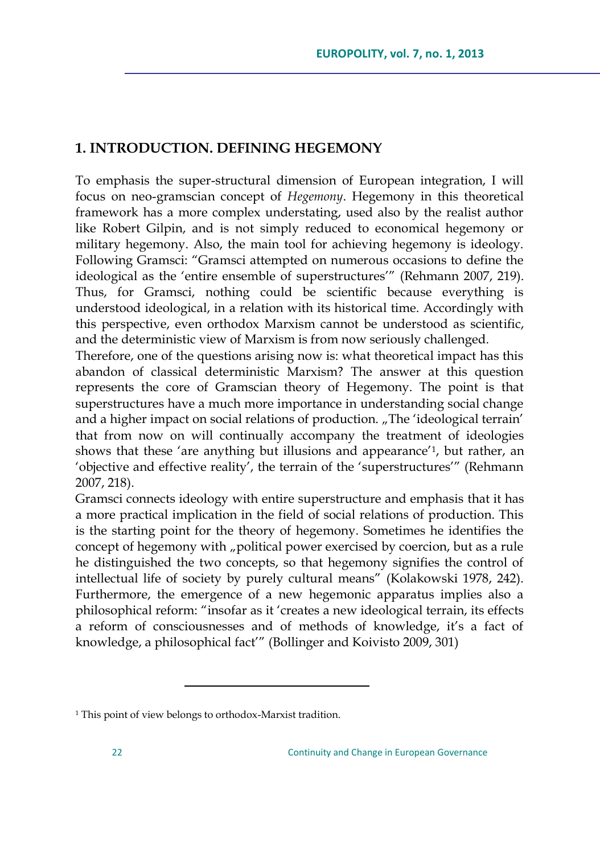### **1. INTRODUCTION. DEFINING HEGEMONY**

To emphasis the super-structural dimension of European integration, I will focus on neo-gramscian concept of *Hegemony*. Hegemony in this theoretical framework has a more complex understating, used also by the realist author like Robert Gilpin, and is not simply reduced to economical hegemony or military hegemony. Also, the main tool for achieving hegemony is ideology. Following Gramsci: "Gramsci attempted on numerous occasions to define the ideological as the "entire ensemble of superstructures"" (Rehmann 2007, 219). Thus, for Gramsci, nothing could be scientific because everything is understood ideological, in a relation with its historical time. Accordingly with this perspective, even orthodox Marxism cannot be understood as scientific, and the deterministic view of Marxism is from now seriously challenged.

Therefore, one of the questions arising now is: what theoretical impact has this abandon of classical deterministic Marxism? The answer at this question represents the core of Gramscian theory of Hegemony. The point is that superstructures have a much more importance in understanding social change and a higher impact on social relations of production. "The 'ideological terrain' that from now on will continually accompany the treatment of ideologies shows that these 'are anything but illusions and appearance'<sup>1</sup>, but rather, an 'objective and effective reality', the terrain of the 'superstructures'" (Rehmann 2007, 218).

Gramsci connects ideology with entire superstructure and emphasis that it has a more practical implication in the field of social relations of production. This is the starting point for the theory of hegemony. Sometimes he identifies the concept of hegemony with "political power exercised by coercion, but as a rule he distinguished the two concepts, so that hegemony signifies the control of intellectual life of society by purely cultural means" (Kolakowski 1978, 242). Furthermore, the emergence of a new hegemonic apparatus implies also a philosophical reform: "insofar as it "creates a new ideological terrain, its effects a reform of consciousnesses and of methods of knowledge, it"s a fact of knowledge, a philosophical fact"" (Bollinger and Koivisto 2009, 301)

 $\overline{a}$ 

<sup>1</sup> This point of view belongs to orthodox-Marxist tradition.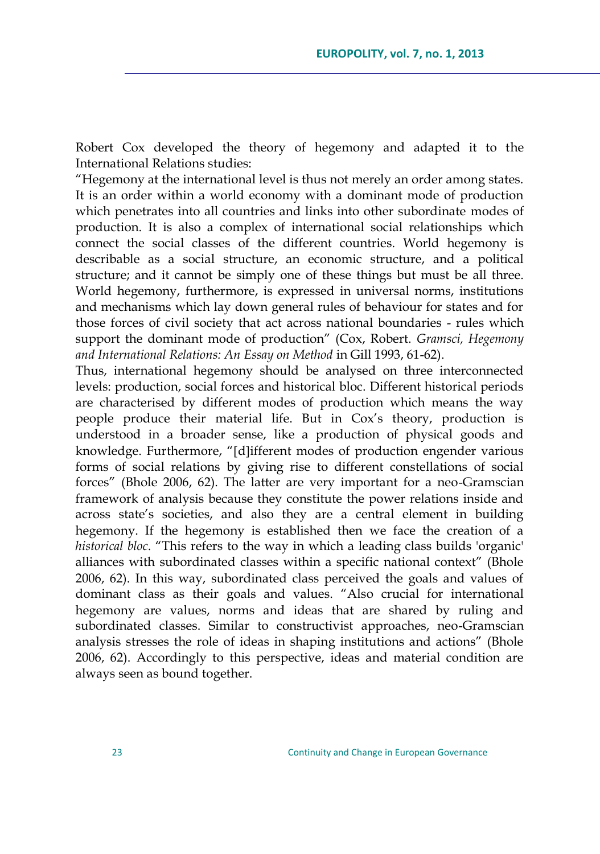Robert Cox developed the theory of hegemony and adapted it to the International Relations studies:

"Hegemony at the international level is thus not merely an order among states. It is an order within a world economy with a dominant mode of production which penetrates into all countries and links into other subordinate modes of production. It is also a complex of international social relationships which connect the social classes of the different countries. World hegemony is describable as a social structure, an economic structure, and a political structure; and it cannot be simply one of these things but must be all three. World hegemony, furthermore, is expressed in universal norms, institutions and mechanisms which lay down general rules of behaviour for states and for those forces of civil society that act across national boundaries - rules which support the dominant mode of production" (Cox, Robert. *Gramsci, Hegemony and International Relations: An Essay on Method* in Gill 1993, 61-62).

Thus, international hegemony should be analysed on three interconnected levels: production, social forces and historical bloc. Different historical periods are characterised by different modes of production which means the way people produce their material life. But in Cox's theory, production is understood in a broader sense, like a production of physical goods and knowledge. Furthermore, "[d]ifferent modes of production engender various forms of social relations by giving rise to different constellations of social forces" (Bhole 2006, 62). The latter are very important for a neo-Gramscian framework of analysis because they constitute the power relations inside and across state's societies, and also they are a central element in building hegemony. If the hegemony is established then we face the creation of a *historical bloc*. "This refers to the way in which a leading class builds 'organic' alliances with subordinated classes within a specific national context" (Bhole 2006, 62). In this way, subordinated class perceived the goals and values of dominant class as their goals and values. "Also crucial for international hegemony are values, norms and ideas that are shared by ruling and subordinated classes. Similar to constructivist approaches, neo-Gramscian analysis stresses the role of ideas in shaping institutions and actions" (Bhole 2006, 62). Accordingly to this perspective, ideas and material condition are always seen as bound together.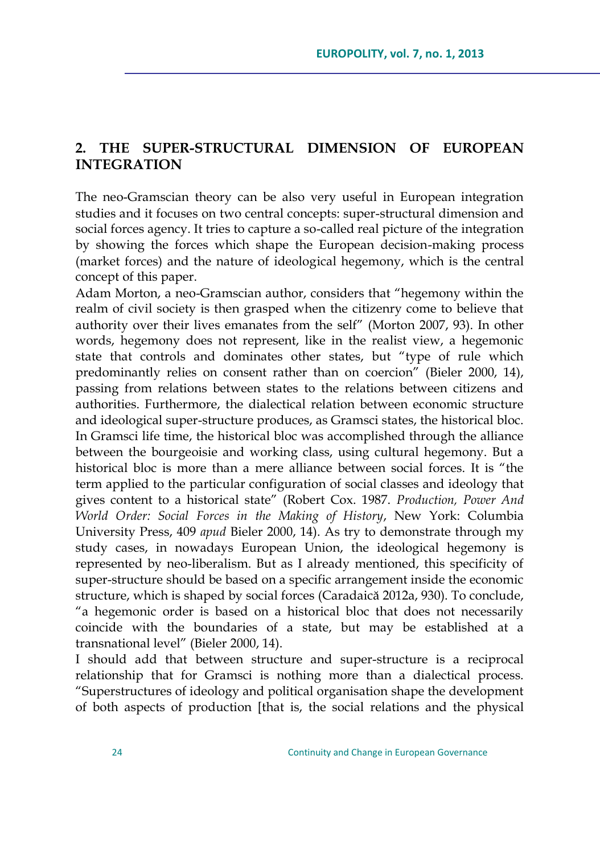# **2. THE SUPER-STRUCTURAL DIMENSION OF EUROPEAN INTEGRATION**

The neo-Gramscian theory can be also very useful in European integration studies and it focuses on two central concepts: super-structural dimension and social forces agency. It tries to capture a so-called real picture of the integration by showing the forces which shape the European decision-making process (market forces) and the nature of ideological hegemony, which is the central concept of this paper.

Adam Morton, a neo-Gramscian author, considers that "hegemony within the realm of civil society is then grasped when the citizenry come to believe that authority over their lives emanates from the self" (Morton 2007, 93). In other words, hegemony does not represent, like in the realist view, a hegemonic state that controls and dominates other states, but "type of rule which predominantly relies on consent rather than on coercion" (Bieler 2000, 14), passing from relations between states to the relations between citizens and authorities. Furthermore, the dialectical relation between economic structure and ideological super-structure produces, as Gramsci states, the historical bloc. In Gramsci life time, the historical bloc was accomplished through the alliance between the bourgeoisie and working class, using cultural hegemony. But a historical bloc is more than a mere alliance between social forces. It is "the term applied to the particular configuration of social classes and ideology that gives content to a historical state" (Robert Cox. 1987. *Production, Power And World Order: Social Forces in the Making of History*, New York: Columbia University Press, 409 *apud* Bieler 2000, 14). As try to demonstrate through my study cases, in nowadays European Union, the ideological hegemony is represented by neo-liberalism. But as I already mentioned, this specificity of super-structure should be based on a specific arrangement inside the economic structure, which is shaped by social forces (Caradaică 2012a, 930). To conclude, "a hegemonic order is based on a historical bloc that does not necessarily coincide with the boundaries of a state, but may be established at a transnational level" (Bieler 2000, 14).

I should add that between structure and super-structure is a reciprocal relationship that for Gramsci is nothing more than a dialectical process. "Superstructures of ideology and political organisation shape the development of both aspects of production [that is, the social relations and the physical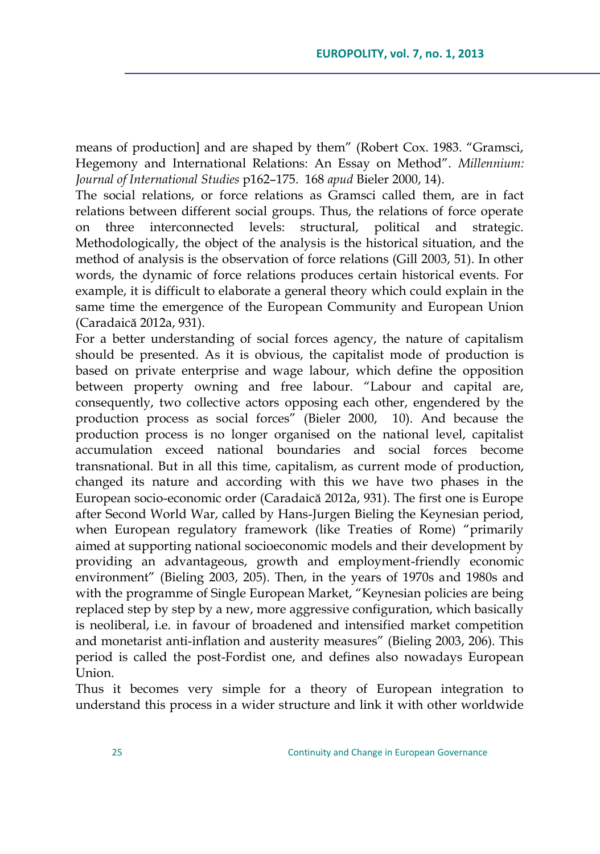means of production] and are shaped by them" (Robert Cox. 1983. "Gramsci, Hegemony and International Relations: An Essay on Method". *Millennium: Journal of International Studies* p162–175. 168 *apud* Bieler 2000, 14).

The social relations, or force relations as Gramsci called them, are in fact relations between different social groups. Thus, the relations of force operate three interconnected levels: structural, political and strategic. Methodologically, the object of the analysis is the historical situation, and the method of analysis is the observation of force relations (Gill 2003, 51). In other words, the dynamic of force relations produces certain historical events. For example, it is difficult to elaborate a general theory which could explain in the same time the emergence of the European Community and European Union (Caradaică 2012a, 931).

For a better understanding of social forces agency, the nature of capitalism should be presented. As it is obvious, the capitalist mode of production is based on private enterprise and wage labour, which define the opposition between property owning and free labour. "Labour and capital are, consequently, two collective actors opposing each other, engendered by the production process as social forces" (Bieler 2000, 10). And because the production process is no longer organised on the national level, capitalist accumulation exceed national boundaries and social forces become transnational. But in all this time, capitalism, as current mode of production, changed its nature and according with this we have two phases in the European socio-economic order (Caradaică 2012a, 931). The first one is Europe after Second World War, called by Hans-Jurgen Bieling the Keynesian period, when European regulatory framework (like Treaties of Rome) "primarily aimed at supporting national socioeconomic models and their development by providing an advantageous, growth and employment-friendly economic environment" (Bieling 2003, 205). Then, in the years of 1970s and 1980s and with the programme of Single European Market, "Keynesian policies are being replaced step by step by a new, more aggressive configuration, which basically is neoliberal, i.e. in favour of broadened and intensified market competition and monetarist anti-inflation and austerity measures" (Bieling 2003, 206). This period is called the post-Fordist one, and defines also nowadays European Union.

Thus it becomes very simple for a theory of European integration to understand this process in a wider structure and link it with other worldwide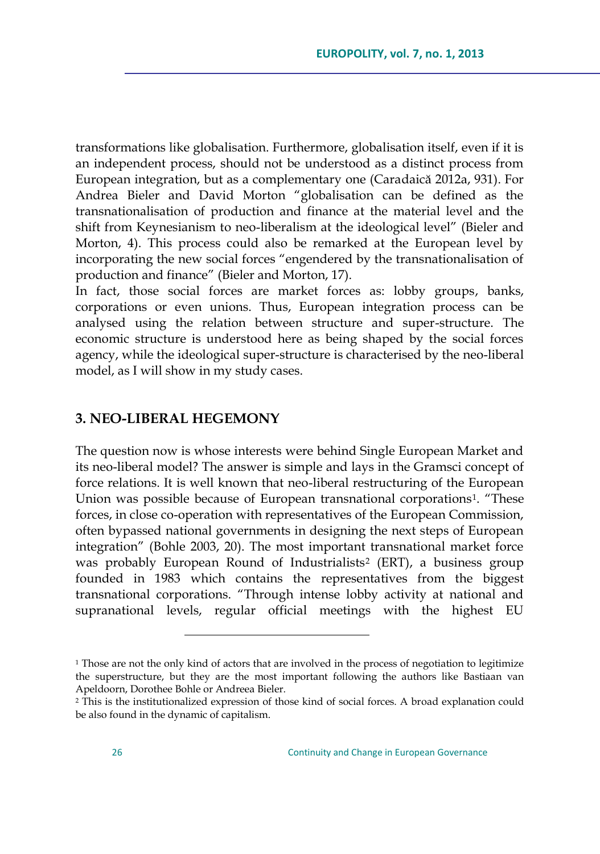transformations like globalisation. Furthermore, globalisation itself, even if it is an independent process, should not be understood as a distinct process from European integration, but as a complementary one (Caradaică 2012a, 931). For Andrea Bieler and David Morton "globalisation can be defined as the transnationalisation of production and finance at the material level and the shift from Keynesianism to neo-liberalism at the ideological level" (Bieler and Morton, 4). This process could also be remarked at the European level by incorporating the new social forces "engendered by the transnationalisation of production and finance" (Bieler and Morton, 17).

In fact, those social forces are market forces as: lobby groups, banks, corporations or even unions. Thus, European integration process can be analysed using the relation between structure and super-structure. The economic structure is understood here as being shaped by the social forces agency, while the ideological super-structure is characterised by the neo-liberal model, as I will show in my study cases.

### **3. NEO-LIBERAL HEGEMONY**

 $\overline{a}$ 

The question now is whose interests were behind Single European Market and its neo-liberal model? The answer is simple and lays in the Gramsci concept of force relations. It is well known that neo-liberal restructuring of the European Union was possible because of European transnational corporations<sup>1</sup>. "These forces, in close co-operation with representatives of the European Commission, often bypassed national governments in designing the next steps of European integration" (Bohle 2003, 20). The most important transnational market force was probably European Round of Industrialists<sup>2</sup> (ERT), a business group founded in 1983 which contains the representatives from the biggest transnational corporations. "Through intense lobby activity at national and supranational levels, regular official meetings with the highest EU

<sup>&</sup>lt;sup>1</sup> Those are not the only kind of actors that are involved in the process of negotiation to legitimize the superstructure, but they are the most important following the authors like Bastiaan van Apeldoorn, Dorothee Bohle or Andreea Bieler.

<sup>2</sup> This is the institutionalized expression of those kind of social forces. A broad explanation could be also found in the dynamic of capitalism.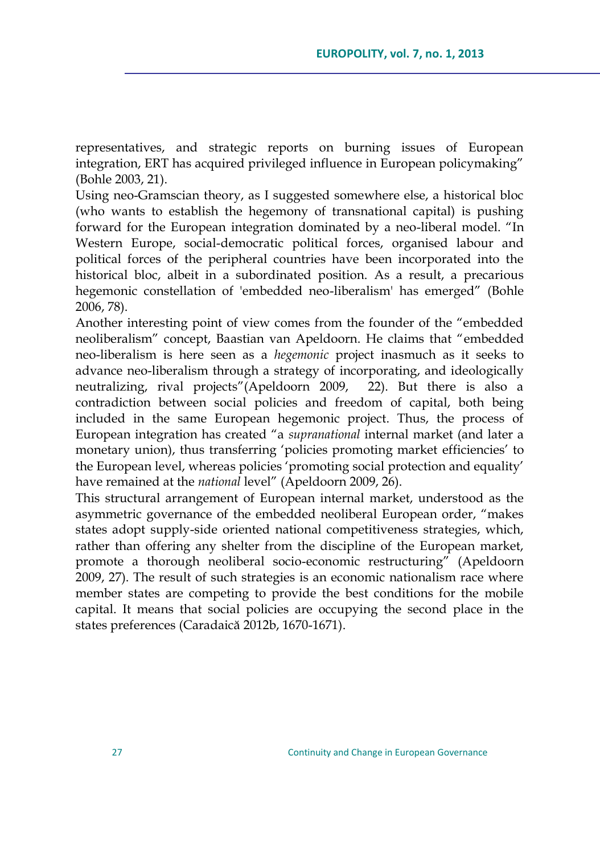representatives, and strategic reports on burning issues of European integration, ERT has acquired privileged influence in European policymaking" (Bohle 2003, 21).

Using neo-Gramscian theory, as I suggested somewhere else, a historical bloc (who wants to establish the hegemony of transnational capital) is pushing forward for the European integration dominated by a neo-liberal model. "In Western Europe, social-democratic political forces, organised labour and political forces of the peripheral countries have been incorporated into the historical bloc, albeit in a subordinated position. As a result, a precarious hegemonic constellation of 'embedded neo-liberalism' has emerged" (Bohle 2006, 78).

Another interesting point of view comes from the founder of the "embedded neoliberalism" concept, Baastian van Apeldoorn. He claims that "embedded neo-liberalism is here seen as a *hegemonic* project inasmuch as it seeks to advance neo-liberalism through a strategy of incorporating, and ideologically neutralizing, rival projects"(Apeldoorn 2009, 22). But there is also a contradiction between social policies and freedom of capital, both being included in the same European hegemonic project. Thus, the process of European integration has created "a *supranational* internal market (and later a monetary union), thus transferring 'policies promoting market efficiencies' to the European level, whereas policies 'promoting social protection and equality' have remained at the *national* level" (Apeldoorn 2009, 26).

This structural arrangement of European internal market, understood as the asymmetric governance of the embedded neoliberal European order, "makes states adopt supply-side oriented national competitiveness strategies, which, rather than offering any shelter from the discipline of the European market, promote a thorough neoliberal socio-economic restructuring" (Apeldoorn 2009, 27). The result of such strategies is an economic nationalism race where member states are competing to provide the best conditions for the mobile capital. It means that social policies are occupying the second place in the states preferences (Caradaică 2012b, 1670-1671).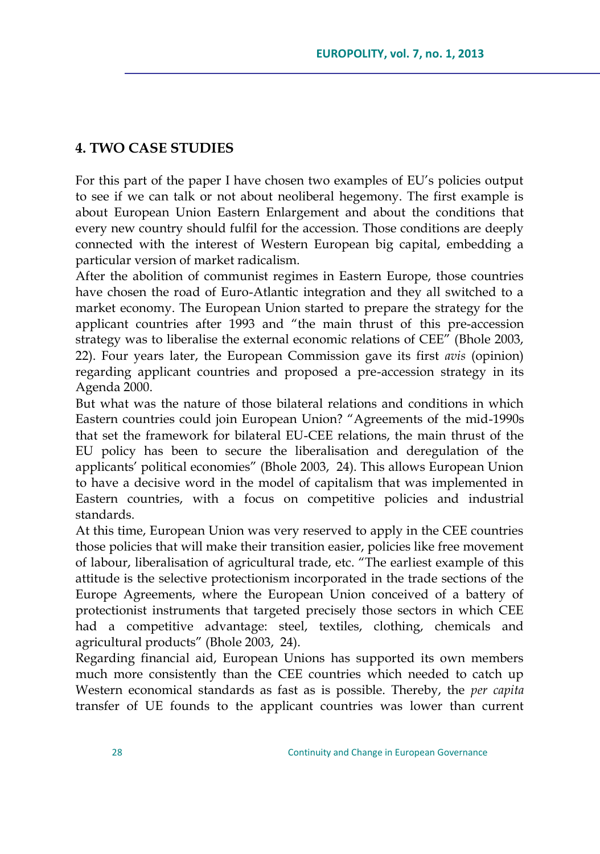# **4. TWO CASE STUDIES**

For this part of the paper I have chosen two examples of EU"s policies output to see if we can talk or not about neoliberal hegemony. The first example is about European Union Eastern Enlargement and about the conditions that every new country should fulfil for the accession. Those conditions are deeply connected with the interest of Western European big capital, embedding a particular version of market radicalism.

After the abolition of communist regimes in Eastern Europe, those countries have chosen the road of Euro-Atlantic integration and they all switched to a market economy. The European Union started to prepare the strategy for the applicant countries after 1993 and "the main thrust of this pre-accession strategy was to liberalise the external economic relations of CEE" (Bhole 2003, 22). Four years later, the European Commission gave its first *avis* (opinion) regarding applicant countries and proposed a pre-accession strategy in its Agenda 2000.

But what was the nature of those bilateral relations and conditions in which Eastern countries could join European Union? "Agreements of the mid-1990s that set the framework for bilateral EU-CEE relations, the main thrust of the EU policy has been to secure the liberalisation and deregulation of the applicants" political economies" (Bhole 2003, 24). This allows European Union to have a decisive word in the model of capitalism that was implemented in Eastern countries, with a focus on competitive policies and industrial standards.

At this time, European Union was very reserved to apply in the CEE countries those policies that will make their transition easier, policies like free movement of labour, liberalisation of agricultural trade, etc. "The earliest example of this attitude is the selective protectionism incorporated in the trade sections of the Europe Agreements, where the European Union conceived of a battery of protectionist instruments that targeted precisely those sectors in which CEE had a competitive advantage: steel, textiles, clothing, chemicals and agricultural products" (Bhole 2003, 24).

Regarding financial aid, European Unions has supported its own members much more consistently than the CEE countries which needed to catch up Western economical standards as fast as is possible. Thereby, the *per capita* transfer of UE founds to the applicant countries was lower than current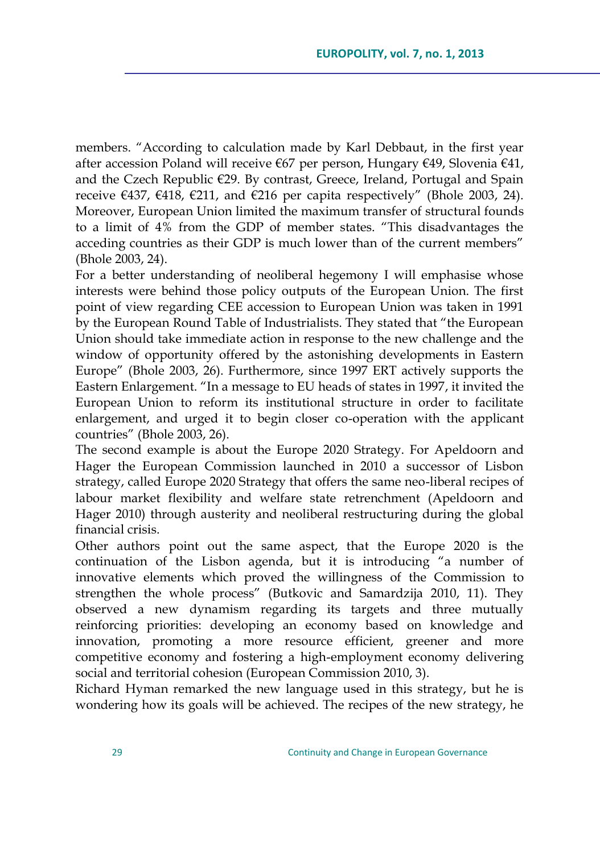members. "According to calculation made by Karl Debbaut, in the first year after accession Poland will receive €67 per person, Hungary €49, Slovenia €41, and the Czech Republic €29. By contrast, Greece, Ireland, Portugal and Spain receive  $\in$ 437,  $\in$ 418,  $\in$ 211, and  $\in$ 216 per capita respectively" (Bhole 2003, 24). Moreover, European Union limited the maximum transfer of structural founds to a limit of 4% from the GDP of member states. "This disadvantages the acceding countries as their GDP is much lower than of the current members" (Bhole 2003, 24).

For a better understanding of neoliberal hegemony I will emphasise whose interests were behind those policy outputs of the European Union. The first point of view regarding CEE accession to European Union was taken in 1991 by the European Round Table of Industrialists. They stated that "the European Union should take immediate action in response to the new challenge and the window of opportunity offered by the astonishing developments in Eastern Europe" (Bhole 2003, 26). Furthermore, since 1997 ERT actively supports the Eastern Enlargement. "In a message to EU heads of states in 1997, it invited the European Union to reform its institutional structure in order to facilitate enlargement, and urged it to begin closer co-operation with the applicant countries" (Bhole 2003, 26).

The second example is about the Europe 2020 Strategy. For Apeldoorn and Hager the European Commission launched in 2010 a successor of Lisbon strategy, called Europe 2020 Strategy that offers the same neo-liberal recipes of labour market flexibility and welfare state retrenchment (Apeldoorn and Hager 2010) through austerity and neoliberal restructuring during the global financial crisis.

Other authors point out the same aspect, that the Europe 2020 is the continuation of the Lisbon agenda, but it is introducing "a number of innovative elements which proved the willingness of the Commission to strengthen the whole process" (Butkovic and Samardzija 2010, 11). They observed a new dynamism regarding its targets and three mutually reinforcing priorities: developing an economy based on knowledge and innovation, promoting a more resource efficient, greener and more competitive economy and fostering a high-employment economy delivering social and territorial cohesion (European Commission 2010, 3).

Richard Hyman remarked the new language used in this strategy, but he is wondering how its goals will be achieved. The recipes of the new strategy, he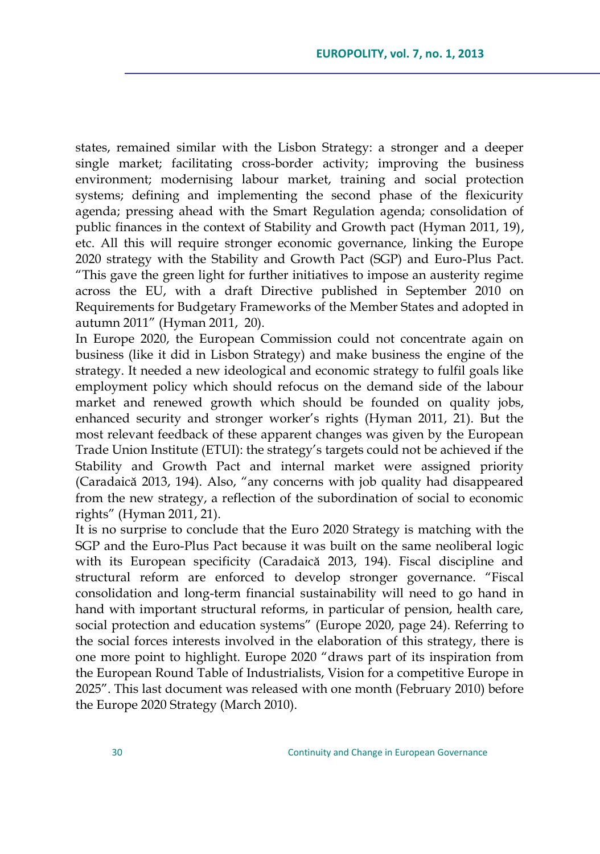states, remained similar with the Lisbon Strategy: a stronger and a deeper single market; facilitating cross-border activity; improving the business environment; modernising labour market, training and social protection systems; defining and implementing the second phase of the flexicurity agenda; pressing ahead with the Smart Regulation agenda; consolidation of public finances in the context of Stability and Growth pact (Hyman 2011, 19), etc. All this will require stronger economic governance, linking the Europe 2020 strategy with the Stability and Growth Pact (SGP) and Euro-Plus Pact. "This gave the green light for further initiatives to impose an austerity regime across the EU, with a draft Directive published in September 2010 on Requirements for Budgetary Frameworks of the Member States and adopted in autumn 2011" (Hyman 2011, 20).

In Europe 2020, the European Commission could not concentrate again on business (like it did in Lisbon Strategy) and make business the engine of the strategy. It needed a new ideological and economic strategy to fulfil goals like employment policy which should refocus on the demand side of the labour market and renewed growth which should be founded on quality jobs, enhanced security and stronger worker's rights (Hyman 2011, 21). But the most relevant feedback of these apparent changes was given by the European Trade Union Institute (ETUI): the strategy"s targets could not be achieved if the Stability and Growth Pact and internal market were assigned priority (Caradaică 2013, 194). Also, "any concerns with job quality had disappeared from the new strategy, a reflection of the subordination of social to economic rights" (Hyman 2011, 21).

It is no surprise to conclude that the Euro 2020 Strategy is matching with the SGP and the Euro-Plus Pact because it was built on the same neoliberal logic with its European specificity (Caradaică 2013, 194). Fiscal discipline and structural reform are enforced to develop stronger governance. "Fiscal consolidation and long-term financial sustainability will need to go hand in hand with important structural reforms, in particular of pension, health care, social protection and education systems" (Europe 2020, page 24). Referring to the social forces interests involved in the elaboration of this strategy, there is one more point to highlight. Europe 2020 "draws part of its inspiration from the European Round Table of Industrialists, Vision for a competitive Europe in 2025". This last document was released with one month (February 2010) before the Europe 2020 Strategy (March 2010).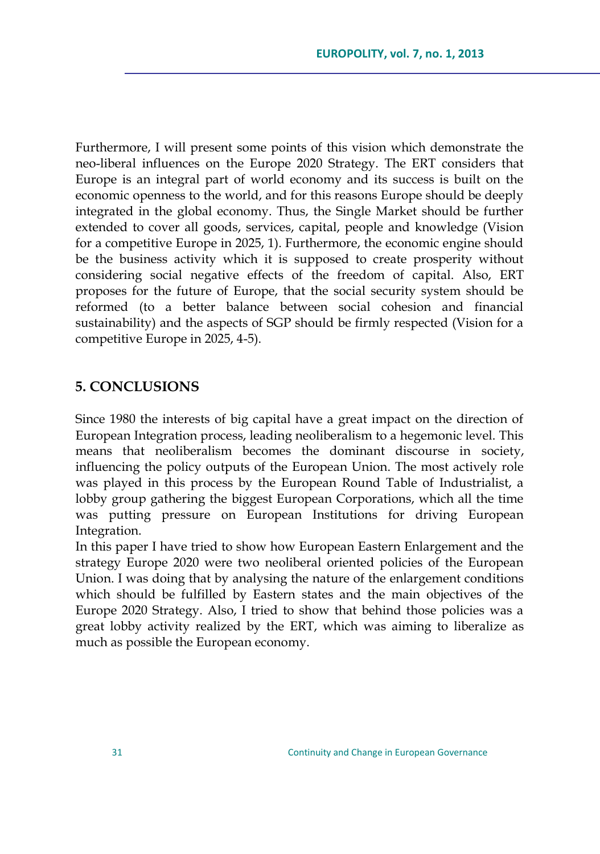Furthermore, I will present some points of this vision which demonstrate the neo-liberal influences on the Europe 2020 Strategy. The ERT considers that Europe is an integral part of world economy and its success is built on the economic openness to the world, and for this reasons Europe should be deeply integrated in the global economy. Thus, the Single Market should be further extended to cover all goods, services, capital, people and knowledge (Vision for a competitive Europe in 2025, 1). Furthermore, the economic engine should be the business activity which it is supposed to create prosperity without considering social negative effects of the freedom of capital. Also, ERT proposes for the future of Europe, that the social security system should be reformed (to a better balance between social cohesion and financial sustainability) and the aspects of SGP should be firmly respected (Vision for a competitive Europe in 2025, 4-5).

## **5. CONCLUSIONS**

Since 1980 the interests of big capital have a great impact on the direction of European Integration process, leading neoliberalism to a hegemonic level. This means that neoliberalism becomes the dominant discourse in society, influencing the policy outputs of the European Union. The most actively role was played in this process by the European Round Table of Industrialist, a lobby group gathering the biggest European Corporations, which all the time was putting pressure on European Institutions for driving European Integration.

In this paper I have tried to show how European Eastern Enlargement and the strategy Europe 2020 were two neoliberal oriented policies of the European Union. I was doing that by analysing the nature of the enlargement conditions which should be fulfilled by Eastern states and the main objectives of the Europe 2020 Strategy. Also, I tried to show that behind those policies was a great lobby activity realized by the ERT, which was aiming to liberalize as much as possible the European economy.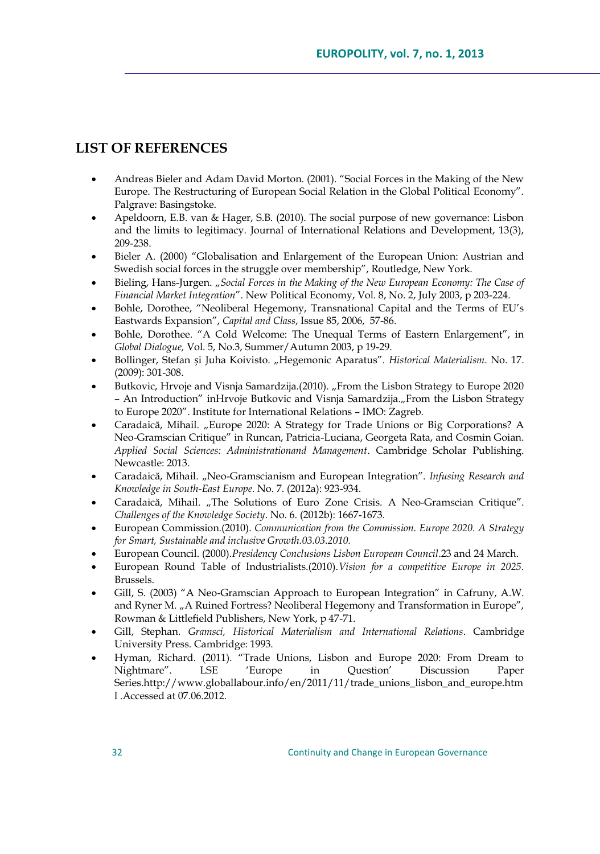# **LIST OF REFERENCES**

- Andreas Bieler and Adam David Morton. (2001). "Social Forces in the Making of the New Europe. The Restructuring of European Social Relation in the Global Political Economy". Palgrave: Basingstoke.
- Apeldoorn, E.B. van & Hager, S.B. (2010). The social purpose of new governance: Lisbon and the limits to legitimacy. Journal of International Relations and Development, 13(3), 209-238.
- Bieler A. (2000) "Globalisation and Enlargement of the European Union: Austrian and Swedish social forces in the struggle over membership", Routledge, New York.
- Bieling, Hans-Jurgen. "Social Forces in the Making of the New European Economy: The Case of *Financial Market Integration*". New Political Economy, Vol. 8, No. 2, July 2003, p 203-224.
- Bohle, Dorothee, "Neoliberal Hegemony, Transnational Capital and the Terms of EU"s Eastwards Expansion", *Capital and Class*, Issue 85, 2006, 57-86.
- Bohle, Dorothee. "A Cold Welcome: The Unequal Terms of Eastern Enlargement", in *Global Dialogue,* Vol. 5, No.3, Summer/Autumn 2003, p 19-29.
- Bollinger, Stefan și Juha Koivisto. "Hegemonic Aparatus". *Historical Materialism*. No. 17. (2009): 301-308.
- Butkovic, Hrvoje and Visnja Samardzija.(2010). "From the Lisbon Strategy to Europe 2020 – An Introduction" inHrvoje Butkovic and Visnja Samardzija."From the Lisbon Strategy to Europe 2020". Institute for International Relations – IMO: Zagreb.
- Caradaică, Mihail. "Europe 2020: A Strategy for Trade Unions or Big Corporations? A Neo-Gramscian Critique" in Runcan, Patricia-Luciana, Georgeta Rata, and Cosmin Goian. *Applied Social Sciences: Administrationand Management*. Cambridge Scholar Publishing. Newcastle: 2013.
- Caradaică, Mihail. "Neo-Gramscianism and European Integration". *Infusing Research and Knowledge in South-East Europe*. No. 7. (2012a): 923-934.
- Caradaică, Mihail. "The Solutions of Euro Zone Crisis. A Neo-Gramscian Critique". *Challenges of the Knowledge Society*. No. 6. (2012b): 1667-1673.
- European Commission.(2010). *Communication from the Commission. Europe 2020. A Strategy for Smart, Sustainable and inclusive Growth.03.03.2010.*
- European Council. (2000).*Presidency Conclusions Lisbon European Council*.23 and 24 March.
- European Round Table of Industrialists.(2010).*Vision for a competitive Europe in 2025.* Brussels.
- Gill, S. (2003) "A Neo-Gramscian Approach to European Integration" in Cafruny, A.W. and Ryner M. "A Ruined Fortress? Neoliberal Hegemony and Transformation in Europe", Rowman & Littlefield Publishers, New York, p 47-71.
- Gill, Stephan. *Gramsci, Historical Materialism and International Relations*. Cambridge University Press. Cambridge: 1993.
- Hyman, Richard. (2011). "Trade Unions, Lisbon and Europe 2020: From Dream to Nightmare". LSE "Europe in Question" Discussion Paper Series.http://www.globallabour.info/en/2011/11/trade\_unions\_lisbon\_and\_europe.htm l .Accessed at 07.06.2012.